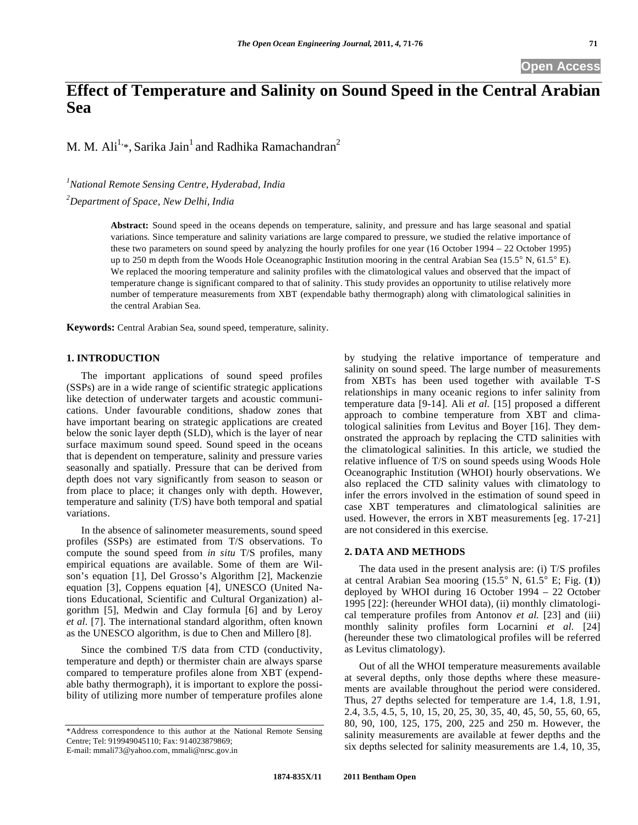**Open Access** 

# **Effect of Temperature and Salinity on Sound Speed in the Central Arabian Sea**

M. M. Ali<sup>1,\*</sup>, Sarika Jain<sup>1</sup> and Radhika Ramachandran<sup>2</sup>

*1 National Remote Sensing Centre, Hyderabad, India* 

*2 Department of Space, New Delhi, India* 

**Abstract:** Sound speed in the oceans depends on temperature, salinity, and pressure and has large seasonal and spatial variations. Since temperature and salinity variations are large compared to pressure, we studied the relative importance of these two parameters on sound speed by analyzing the hourly profiles for one year (16 October 1994 – 22 October 1995) up to 250 m depth from the Woods Hole Oceanographic Institution mooring in the central Arabian Sea (15.5° N, 61.5° E). We replaced the mooring temperature and salinity profiles with the climatological values and observed that the impact of temperature change is significant compared to that of salinity. This study provides an opportunity to utilise relatively more number of temperature measurements from XBT (expendable bathy thermograph) along with climatological salinities in the central Arabian Sea.

**Keywords:** Central Arabian Sea, sound speed, temperature, salinity.

## **1. INTRODUCTION**

The important applications of sound speed profiles (SSPs) are in a wide range of scientific strategic applications like detection of underwater targets and acoustic communications. Under favourable conditions, shadow zones that have important bearing on strategic applications are created below the sonic layer depth (SLD), which is the layer of near surface maximum sound speed. Sound speed in the oceans that is dependent on temperature, salinity and pressure varies seasonally and spatially. Pressure that can be derived from depth does not vary significantly from season to season or from place to place; it changes only with depth. However, temperature and salinity (T/S) have both temporal and spatial variations.

In the absence of salinometer measurements, sound speed profiles (SSPs) are estimated from T/S observations. To compute the sound speed from *in situ* T/S profiles, many empirical equations are available. Some of them are Wilson's equation [1], Del Grosso's Algorithm [2], Mackenzie equation [3], Coppens equation [4], UNESCO (United Nations Educational, Scientific and Cultural Organization) algorithm [5], Medwin and Clay formula [6] and by Leroy *et al.* [7]. The international standard algorithm, often known as the UNESCO algorithm, is due to Chen and Millero [8].

Since the combined T/S data from CTD (conductivity, temperature and depth) or thermister chain are always sparse compared to temperature profiles alone from XBT (expendable bathy thermograph), it is important to explore the possibility of utilizing more number of temperature profiles alone

E-mail: mmali73@yahoo.com, mmali@nrsc.gov.in

by studying the relative importance of temperature and salinity on sound speed. The large number of measurements from XBTs has been used together with available T-S relationships in many oceanic regions to infer salinity from temperature data [9-14]. Ali *et al.* [15] proposed a different approach to combine temperature from XBT and climatological salinities from Levitus and Boyer [16]. They demonstrated the approach by replacing the CTD salinities with the climatological salinities. In this article, we studied the relative influence of T/S on sound speeds using Woods Hole Oceanographic Institution (WHOI) hourly observations. We also replaced the CTD salinity values with climatology to infer the errors involved in the estimation of sound speed in case XBT temperatures and climatological salinities are used. However, the errors in XBT measurements [eg. 17-21] are not considered in this exercise.

## **2. DATA AND METHODS**

The data used in the present analysis are: (i) T/S profiles at central Arabian Sea mooring (15.5° N, 61.5° E; Fig. (**1**)) deployed by WHOI during 16 October 1994 – 22 October 1995 [22]: (hereunder WHOI data), (ii) monthly climatological temperature profiles from Antonov *et al.* [23] and (iii) monthly salinity profiles form Locarnini *et al.* [24] (hereunder these two climatological profiles will be referred as Levitus climatology).

Out of all the WHOI temperature measurements available at several depths, only those depths where these measurements are available throughout the period were considered. Thus, 27 depths selected for temperature are 1.4, 1.8, 1.91, 2.4, 3.5, 4.5, 5, 10, 15, 20, 25, 30, 35, 40, 45, 50, 55, 60, 65, 80, 90, 100, 125, 175, 200, 225 and 250 m. However, the salinity measurements are available at fewer depths and the six depths selected for salinity measurements are 1.4, 10, 35,

<sup>\*</sup>Address correspondence to this author at the National Remote Sensing Centre; Tel: 919949045110; Fax: 914023879869;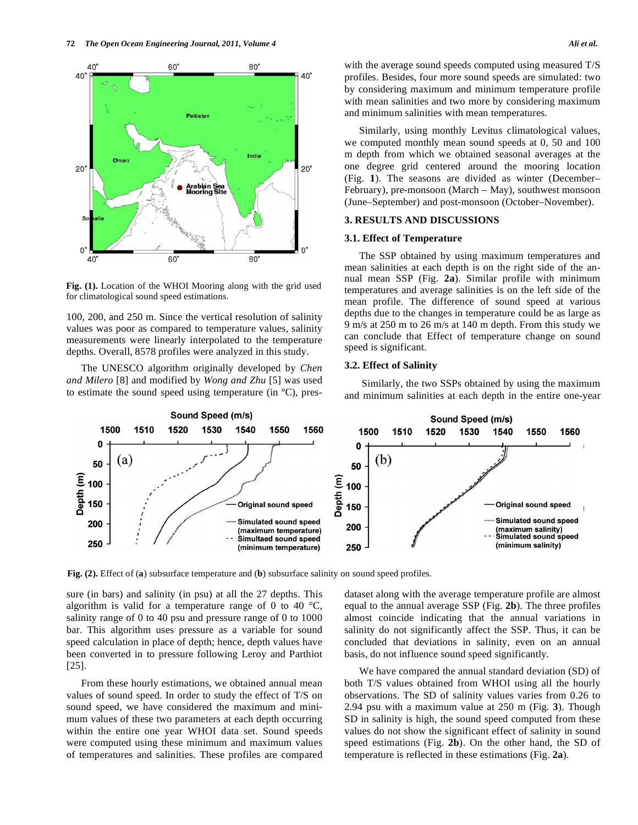

**Fig. (1).** Location of the WHOI Mooring along with the grid used for climatological sound speed estimations.

100, 200, and 250 m. Since the vertical resolution of salinity values was poor as compared to temperature values, salinity measurements were linearly interpolated to the temperature depths. Overall, 8578 profiles were analyzed in this study.

The UNESCO algorithm originally developed by *Chen and Milero* [8] and modified by *Wong and Zhu* [5] was used to estimate the sound speed using temperature (in ºC), preswith the average sound speeds computed using measured T/S profiles. Besides, four more sound speeds are simulated: two by considering maximum and minimum temperature profile with mean salinities and two more by considering maximum and minimum salinities with mean temperatures.

Similarly, using monthly Levitus climatological values, we computed monthly mean sound speeds at 0, 50 and 100 m depth from which we obtained seasonal averages at the one degree grid centered around the mooring location (Fig. **1**). The seasons are divided as winter (December– February), pre-monsoon (March – May), southwest monsoon (June–September) and post-monsoon (October–November).

#### **3. RESULTS AND DISCUSSIONS**

## **3.1. Effect of Temperature**

The SSP obtained by using maximum temperatures and mean salinities at each depth is on the right side of the annual mean SSP (Fig. **2a**). Similar profile with minimum temperatures and average salinities is on the left side of the mean profile. The difference of sound speed at various depths due to the changes in temperature could be as large as 9 m/s at 250 m to 26 m/s at 140 m depth. From this study we can conclude that Effect of temperature change on sound speed is significant.

## **3.2. Effect of Salinity**

 Similarly, the two SSPs obtained by using the maximum and minimum salinities at each depth in the entire one-year



**Fig. (2).** Effect of (**a**) subsurface temperature and (**b**) subsurface salinity on sound speed profiles.

sure (in bars) and salinity (in psu) at all the 27 depths. This algorithm is valid for a temperature range of 0 to 40  $^{\circ}C$ , salinity range of 0 to 40 psu and pressure range of 0 to 1000 bar. This algorithm uses pressure as a variable for sound speed calculation in place of depth; hence, depth values have been converted in to pressure following Leroy and Parthiot [25].

From these hourly estimations, we obtained annual mean values of sound speed. In order to study the effect of T/S on sound speed, we have considered the maximum and minimum values of these two parameters at each depth occurring within the entire one year WHOI data set. Sound speeds were computed using these minimum and maximum values of temperatures and salinities. These profiles are compared dataset along with the average temperature profile are almost equal to the annual average SSP (Fig. **2b**). The three profiles almost coincide indicating that the annual variations in salinity do not significantly affect the SSP. Thus, it can be concluded that deviations in salinity, even on an annual basis, do not influence sound speed significantly.

We have compared the annual standard deviation (SD) of both T/S values obtained from WHOI using all the hourly observations. The SD of salinity values varies from 0.26 to 2.94 psu with a maximum value at 250 m (Fig. **3**). Though SD in salinity is high, the sound speed computed from these values do not show the significant effect of salinity in sound speed estimations (Fig. **2b**). On the other hand, the SD of temperature is reflected in these estimations (Fig. **2a**).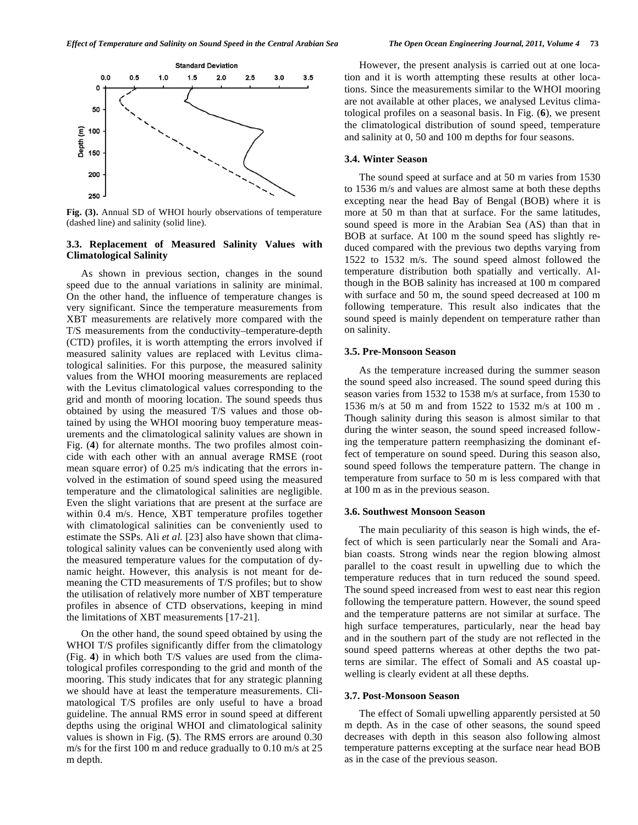

**Fig. (3).** Annual SD of WHOI hourly observations of temperature (dashed line) and salinity (solid line).

## **3.3. Replacement of Measured Salinity Values with Climatological Salinity**

As shown in previous section, changes in the sound speed due to the annual variations in salinity are minimal. On the other hand, the influence of temperature changes is very significant. Since the temperature measurements from XBT measurements are relatively more compared with the T/S measurements from the conductivity–temperature-depth (CTD) profiles, it is worth attempting the errors involved if measured salinity values are replaced with Levitus climatological salinities. For this purpose, the measured salinity values from the WHOI mooring measurements are replaced with the Levitus climatological values corresponding to the grid and month of mooring location. The sound speeds thus obtained by using the measured T/S values and those obtained by using the WHOI mooring buoy temperature measurements and the climatological salinity values are shown in Fig. (**4**) for alternate months. The two profiles almost coincide with each other with an annual average RMSE (root mean square error) of 0.25 m/s indicating that the errors involved in the estimation of sound speed using the measured temperature and the climatological salinities are negligible. Even the slight variations that are present at the surface are within 0.4 m/s. Hence, XBT temperature profiles together with climatological salinities can be conveniently used to estimate the SSPs. Ali *et al.* [23] also have shown that climatological salinity values can be conveniently used along with the measured temperature values for the computation of dynamic height. However, this analysis is not meant for demeaning the CTD measurements of T/S profiles; but to show the utilisation of relatively more number of XBT temperature profiles in absence of CTD observations, keeping in mind the limitations of XBT measurements [17-21].

On the other hand, the sound speed obtained by using the WHOI T/S profiles significantly differ from the climatology (Fig. **4**) in which both T/S values are used from the climatological profiles corresponding to the grid and month of the mooring. This study indicates that for any strategic planning we should have at least the temperature measurements. Climatological T/S profiles are only useful to have a broad guideline. The annual RMS error in sound speed at different depths using the original WHOI and climatological salinity values is shown in Fig. (**5**). The RMS errors are around 0.30 m/s for the first 100 m and reduce gradually to 0.10 m/s at 25 m depth.

However, the present analysis is carried out at one location and it is worth attempting these results at other locations. Since the measurements similar to the WHOI mooring are not available at other places, we analysed Levitus climatological profiles on a seasonal basis. In Fig. (**6**), we present the climatological distribution of sound speed, temperature and salinity at 0, 50 and 100 m depths for four seasons.

## **3.4. Winter Season**

The sound speed at surface and at 50 m varies from 1530 to 1536 m/s and values are almost same at both these depths excepting near the head Bay of Bengal (BOB) where it is more at 50 m than that at surface. For the same latitudes, sound speed is more in the Arabian Sea (AS) than that in BOB at surface. At 100 m the sound speed has slightly reduced compared with the previous two depths varying from 1522 to 1532 m/s. The sound speed almost followed the temperature distribution both spatially and vertically. Although in the BOB salinity has increased at 100 m compared with surface and 50 m, the sound speed decreased at 100 m following temperature. This result also indicates that the sound speed is mainly dependent on temperature rather than on salinity.

#### **3.5. Pre-Monsoon Season**

As the temperature increased during the summer season the sound speed also increased. The sound speed during this season varies from 1532 to 1538 m/s at surface, from 1530 to 1536 m/s at 50 m and from 1522 to 1532 m/s at 100 m . Though salinity during this season is almost similar to that during the winter season, the sound speed increased following the temperature pattern reemphasizing the dominant effect of temperature on sound speed. During this season also, sound speed follows the temperature pattern. The change in temperature from surface to 50 m is less compared with that at 100 m as in the previous season.

### **3.6. Southwest Monsoon Season**

The main peculiarity of this season is high winds, the effect of which is seen particularly near the Somali and Arabian coasts. Strong winds near the region blowing almost parallel to the coast result in upwelling due to which the temperature reduces that in turn reduced the sound speed. The sound speed increased from west to east near this region following the temperature pattern. However, the sound speed and the temperature patterns are not similar at surface. The high surface temperatures, particularly, near the head bay and in the southern part of the study are not reflected in the sound speed patterns whereas at other depths the two patterns are similar. The effect of Somali and AS coastal upwelling is clearly evident at all these depths.

#### **3.7. Post-Monsoon Season**

The effect of Somali upwelling apparently persisted at 50 m depth. As in the case of other seasons, the sound speed decreases with depth in this season also following almost temperature patterns excepting at the surface near head BOB as in the case of the previous season.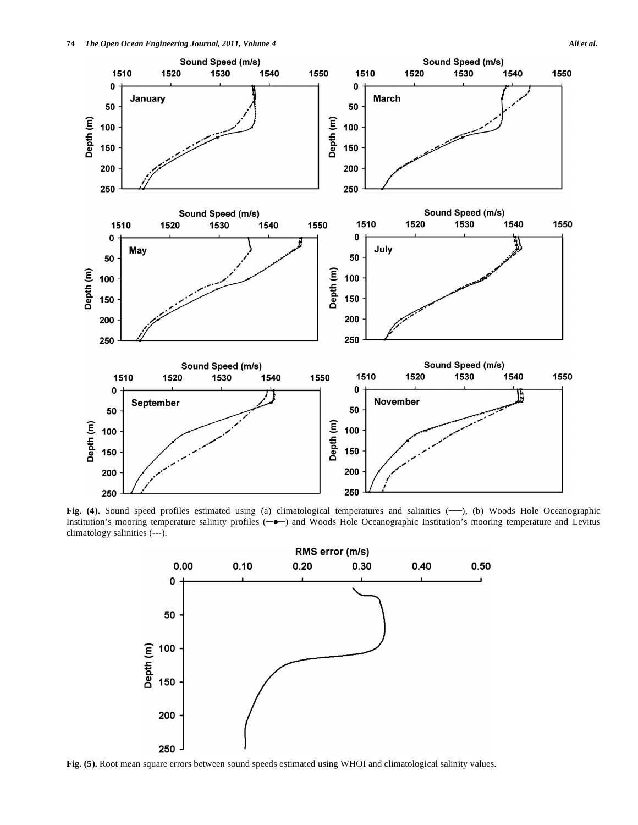

Fig. (4). Sound speed profiles estimated using (a) climatological temperatures and salinities (-), (b) Woods Hole Oceanographic Institution's mooring temperature salinity profiles  $(-\bullet)$  and Woods Hole Oceanographic Institution's mooring temperature and Levitus climatology salinities (---).



**Fig. (5).** Root mean square errors between sound speeds estimated using WHOI and climatological salinity values.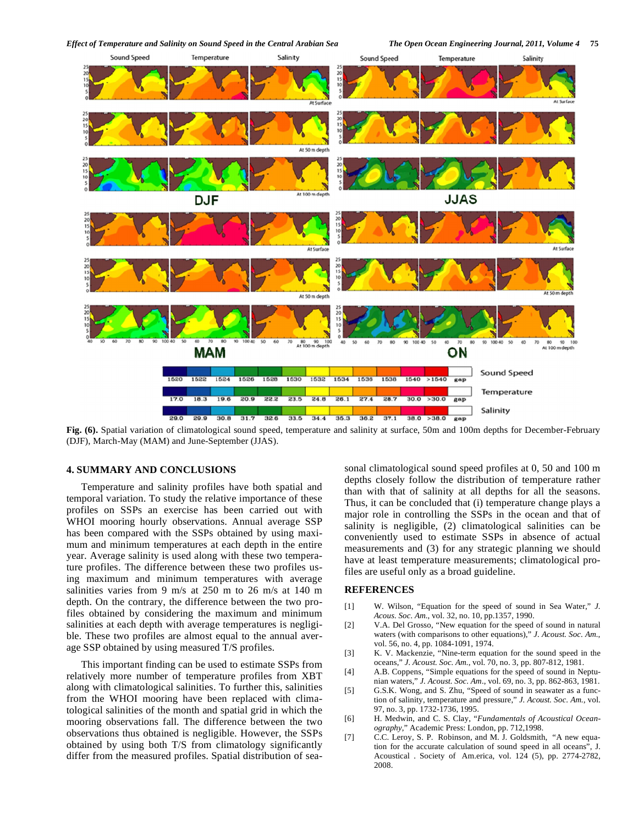

**Fig. (6).** Spatial variation of climatological sound speed, temperature and salinity at surface, 50m and 100m depths for December-February (DJF), March-May (MAM) and June-September (JJAS).

#### **4. SUMMARY AND CONCLUSIONS**

Temperature and salinity profiles have both spatial and temporal variation. To study the relative importance of these profiles on SSPs an exercise has been carried out with WHOI mooring hourly observations. Annual average SSP has been compared with the SSPs obtained by using maximum and minimum temperatures at each depth in the entire year. Average salinity is used along with these two temperature profiles. The difference between these two profiles using maximum and minimum temperatures with average salinities varies from 9 m/s at 250 m to 26 m/s at 140 m depth. On the contrary, the difference between the two profiles obtained by considering the maximum and minimum salinities at each depth with average temperatures is negligible. These two profiles are almost equal to the annual average SSP obtained by using measured T/S profiles.

This important finding can be used to estimate SSPs from relatively more number of temperature profiles from XBT along with climatological salinities. To further this, salinities from the WHOI mooring have been replaced with climatological salinities of the month and spatial grid in which the mooring observations fall. The difference between the two observations thus obtained is negligible. However, the SSPs obtained by using both T/S from climatology significantly differ from the measured profiles. Spatial distribution of seasonal climatological sound speed profiles at 0, 50 and 100 m depths closely follow the distribution of temperature rather than with that of salinity at all depths for all the seasons. Thus, it can be concluded that (i) temperature change plays a major role in controlling the SSPs in the ocean and that of salinity is negligible, (2) climatological salinities can be conveniently used to estimate SSPs in absence of actual measurements and (3) for any strategic planning we should have at least temperature measurements; climatological profiles are useful only as a broad guideline.

## **REFERENCES**

- [1] W. Wilson, "Equation for the speed of sound in Sea Water," *J. Acous. Soc. Am.*, vol. 32, no. 10, pp.1357, 1990.
- [2] V.A. Del Grosso, "New equation for the speed of sound in natural waters (with comparisons to other equations)," *J. Acoust. Soc. Am.*, vol. 56, no. 4, pp. 1084-1091, 1974.
- [3] K. V. Mackenzie, "Nine-term equation for the sound speed in the oceans," *J. Acoust. Soc. Am.*, vol. 70, no. 3, pp. 807-812, 1981.
- [4] A.B. Coppens, "Simple equations for the speed of sound in Neptunian waters," *J. Acoust. Soc. Am.*, vol. 69, no. 3, pp. 862-863, 1981.
- [5] G.S.K. Wong, and S. Zhu, "Speed of sound in seawater as a function of salinity, temperature and pressure," *J. Acoust. Soc. Am.,* vol. 97, no. 3, pp. 1732-1736, 1995.
- [6] H. Medwin, and C. S. Clay, "*Fundamentals of Acoustical Oceanography*," Academic Press: London, pp. 712,1998.
- [7] C.C. Leroy, S. P. Robinson, and M. J. Goldsmith, "A new equation for the accurate calculation of sound speed in all oceans", J. Acoustical . Society of Am.erica, vol. 124 (5), pp. 2774-2782, 2008.